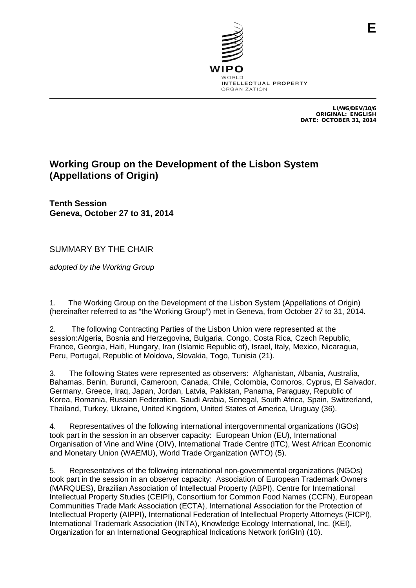

LI/WG/DEV/10/6 ORIGINAL: ENGLISH DATE: OCTOBER 31, 2014

**E**

# **Working Group on the Development of the Lisbon System (Appellations of Origin)**

**Tenth Session Geneva, October 27 to 31, 2014**

SUMMARY BY THE CHAIR

*adopted by the Working Group*

1. The Working Group on the Development of the Lisbon System (Appellations of Origin) (hereinafter referred to as "the Working Group") met in Geneva, from October 27 to 31, 2014.

2. The following Contracting Parties of the Lisbon Union were represented at the session:Algeria, Bosnia and Herzegovina, Bulgaria, Congo, Costa Rica, Czech Republic, France, Georgia, Haiti, Hungary, Iran (Islamic Republic of), Israel, Italy, Mexico, Nicaragua, Peru, Portugal, Republic of Moldova, Slovakia, Togo, Tunisia (21).

3. The following States were represented as observers: Afghanistan, Albania, Australia, Bahamas, Benin, Burundi, Cameroon, Canada, Chile, Colombia, Comoros, Cyprus, El Salvador, Germany, Greece, Iraq, Japan, Jordan, Latvia, Pakistan, Panama, Paraguay, Republic of Korea, Romania, Russian Federation, Saudi Arabia, Senegal, South Africa, Spain, Switzerland, Thailand, Turkey, Ukraine, United Kingdom, United States of America, Uruguay (36).

4. Representatives of the following international intergovernmental organizations (IGOs) took part in the session in an observer capacity: European Union (EU), International Organisation of Vine and Wine (OIV), International Trade Centre (ITC), West African Economic and Monetary Union (WAEMU), World Trade Organization (WTO) (5).

<span id="page-0-0"></span>5. Representatives of the following international non-governmental organizations (NGOs) took part in the session in an observer capacity: Association of European Trademark Owners (MARQUES), Brazilian Association of Intellectual Property (ABPI), Centre for International Intellectual Property Studies (CEIPI), Consortium for Common Food Names (CCFN), European Communities Trade Mark Association (ECTA), International Association for the Protection of Intellectual Property (AIPPI), International Federation of Intellectual Property Attorneys (FICPI), International Trademark Association (INTA), Knowledge Ecology International, Inc. (KEI), Organization for an International Geographical Indications Network (oriGIn) (10).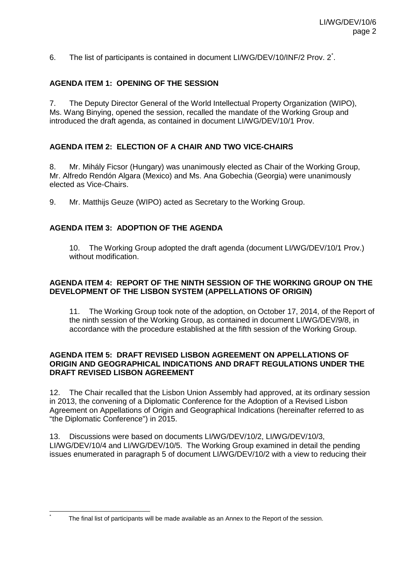6. The list of participants is contained in document LI/WG/DEV/10/INF/2 Prov. 2[\\*](#page-0-0) .

## **AGENDA ITEM 1: OPENING OF THE SESSION**

7. The Deputy Director General of the World Intellectual Property Organization (WIPO), Ms. Wang Binying, opened the session, recalled the mandate of the Working Group and introduced the draft agenda, as contained in document LI/WG/DEV/10/1 Prov.

#### **AGENDA ITEM 2: ELECTION OF A CHAIR AND TWO VICE-CHAIRS**

8. Mr. Mihály Ficsor (Hungary) was unanimously elected as Chair of the Working Group, Mr. Alfredo Rendón Algara (Mexico) and Ms. Ana Gobechia (Georgia) were unanimously elected as Vice-Chairs.

9. Mr. Matthijs Geuze (WIPO) acted as Secretary to the Working Group.

## **AGENDA ITEM 3: ADOPTION OF THE AGENDA**

10. The Working Group adopted the draft agenda (document LI/WG/DEV/10/1 Prov.) without modification.

#### **AGENDA ITEM 4: REPORT OF THE NINTH SESSION OF THE WORKING GROUP ON THE DEVELOPMENT OF THE LISBON SYSTEM (APPELLATIONS OF ORIGIN)**

The Working Group took note of the adoption, on October 17, 2014, of the Report of the ninth session of the Working Group, as contained in document LI/WG/DEV/9/8, in accordance with the procedure established at the fifth session of the Working Group.

#### **AGENDA ITEM 5: DRAFT REVISED LISBON AGREEMENT ON APPELLATIONS OF ORIGIN AND GEOGRAPHICAL INDICATIONS AND DRAFT REGULATIONS UNDER THE DRAFT REVISED LISBON AGREEMENT**

12. The Chair recalled that the Lisbon Union Assembly had approved, at its ordinary session in 2013, the convening of a Diplomatic Conference for the Adoption of a Revised Lisbon Agreement on Appellations of Origin and Geographical Indications (hereinafter referred to as "the Diplomatic Conference") in 2015.

13. Discussions were based on documents LI/WG/DEV/10/2, LI/WG/DEV/10/3, LI/WG/DEV/10/4 and LI/WG/DEV/10/5. The Working Group examined in detail the pending issues enumerated in paragraph 5 of document LI/WG/DEV/10/2 with a view to reducing their

<span id="page-1-0"></span>The final list of participants will be made available as an Annex to the Report of the session.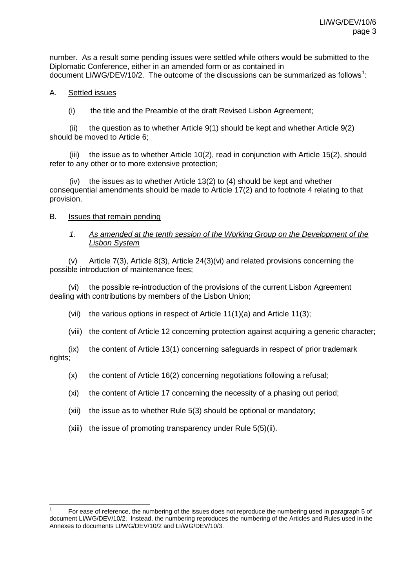number. As a result some pending issues were settled while others would be submitted to the Diplomatic Conference, either in an amended form or as contained in document LI/WG/DEV/[1](#page-1-0)0/2. The outcome of the discussions can be summarized as follows<sup>1</sup>:

#### A. Settled issues

(i) the title and the Preamble of the draft Revised Lisbon Agreement;

(ii) the question as to whether Article  $9(1)$  should be kept and whether Article  $9(2)$ should be moved to Article 6;

(iii) the issue as to whether Article 10(2), read in conjunction with Article 15(2), should refer to any other or to more extensive protection;

(iv) the issues as to whether Article 13(2) to  $(4)$  should be kept and whether consequential amendments should be made to Article 17(2) and to footnote 4 relating to that provision.

#### B. Issues that remain pending

#### *1. As amended at the tenth session of the Working Group on the Development of the Lisbon System*

(v) Article 7(3), Article 8(3), Article 24(3)(vi) and related provisions concerning the possible introduction of maintenance fees;

(vi) the possible re-introduction of the provisions of the current Lisbon Agreement dealing with contributions by members of the Lisbon Union;

(vii) the various options in respect of Article  $11(1)(a)$  and Article  $11(3)$ ;

(viii) the content of Article 12 concerning protection against acquiring a generic character;

(ix) the content of Article 13(1) concerning safeguards in respect of prior trademark rights;

- (x) the content of Article 16(2) concerning negotiations following a refusal;
- (xi) the content of Article 17 concerning the necessity of a phasing out period;
- (xii) the issue as to whether Rule 5(3) should be optional or mandatory;
- (xiii) the issue of promoting transparency under Rule 5(5)(ii).

 <sup>1</sup> For ease of reference, the numbering of the issues does not reproduce the numbering used in paragraph 5 of document LI/WG/DEV/10/2. Instead, the numbering reproduces the numbering of the Articles and Rules used in the Annexes to documents LI/WG/DEV/10/2 and LI/WG/DEV/10/3.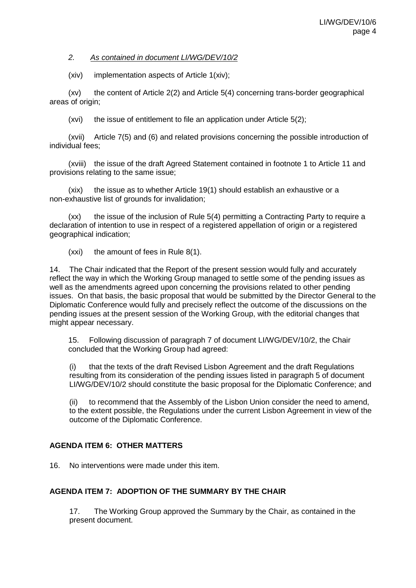#### *2. As contained in document LI/WG/DEV/10/2*

(xiv) implementation aspects of Article 1(xiv);

(xv) the content of Article 2(2) and Article 5(4) concerning trans-border geographical areas of origin;

(xvi) the issue of entitlement to file an application under Article 5(2);

(xvii) Article 7(5) and (6) and related provisions concerning the possible introduction of individual fees;

(xviii) the issue of the draft Agreed Statement contained in footnote 1 to Article 11 and provisions relating to the same issue;

(xix) the issue as to whether Article 19(1) should establish an exhaustive or a non-exhaustive list of grounds for invalidation;

(xx) the issue of the inclusion of Rule 5(4) permitting a Contracting Party to require a declaration of intention to use in respect of a registered appellation of origin or a registered geographical indication;

(xxi) the amount of fees in Rule 8(1).

14. The Chair indicated that the Report of the present session would fully and accurately reflect the way in which the Working Group managed to settle some of the pending issues as well as the amendments agreed upon concerning the provisions related to other pending issues. On that basis, the basic proposal that would be submitted by the Director General to the Diplomatic Conference would fully and precisely reflect the outcome of the discussions on the pending issues at the present session of the Working Group, with the editorial changes that might appear necessary.

15. Following discussion of paragraph 7 of document LI/WG/DEV/10/2, the Chair concluded that the Working Group had agreed:

(i) that the texts of the draft Revised Lisbon Agreement and the draft Regulations resulting from its consideration of the pending issues listed in paragraph 5 of document LI/WG/DEV/10/2 should constitute the basic proposal for the Diplomatic Conference; and

(ii) to recommend that the Assembly of the Lisbon Union consider the need to amend, to the extent possible, the Regulations under the current Lisbon Agreement in view of the outcome of the Diplomatic Conference.

# **AGENDA ITEM 6: OTHER MATTERS**

16. No interventions were made under this item.

# **AGENDA ITEM 7: ADOPTION OF THE SUMMARY BY THE CHAIR**

17. The Working Group approved the Summary by the Chair, as contained in the present document.